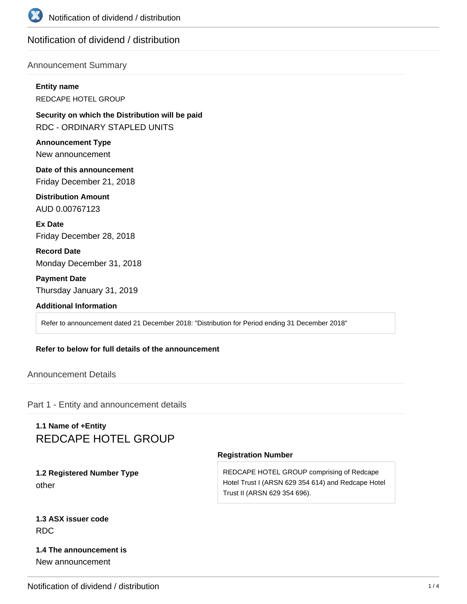

## Notification of dividend / distribution

#### Announcement Summary

# **Entity name**

REDCAPE HOTEL GROUP

**Security on which the Distribution will be paid** RDC - ORDINARY STAPLED UNITS

**Announcement Type** New announcement

**Date of this announcement** Friday December 21, 2018

**Distribution Amount** AUD 0.00767123

**Ex Date** Friday December 28, 2018

**Record Date** Monday December 31, 2018

**Payment Date** Thursday January 31, 2019

#### **Additional Information**

Refer to announcement dated 21 December 2018: "Distribution for Period ending 31 December 2018"

#### **Refer to below for full details of the announcement**

Announcement Details

Part 1 - Entity and announcement details

## **1.1 Name of +Entity** REDCAPE HOTEL GROUP

**1.2 Registered Number Type** other

#### **Registration Number**

REDCAPE HOTEL GROUP comprising of Redcape Hotel Trust I (ARSN 629 354 614) and Redcape Hotel Trust II (ARSN 629 354 696).

## **1.3 ASX issuer code** RDC

### **1.4 The announcement is** New announcement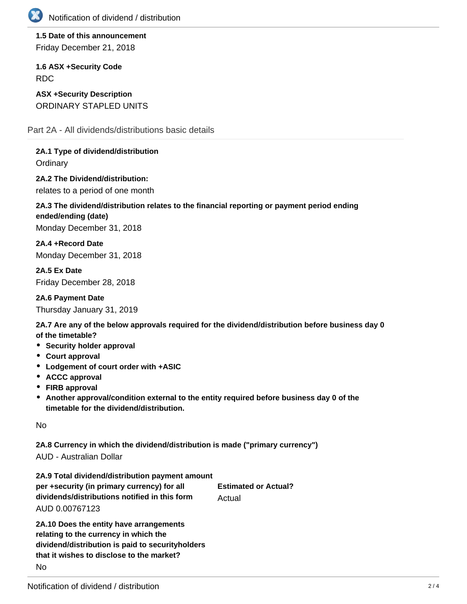

**1.5 Date of this announcement** Friday December 21, 2018

**1.6 ASX +Security Code** RDC

**ASX +Security Description** ORDINARY STAPLED UNITS

Part 2A - All dividends/distributions basic details

**2A.1 Type of dividend/distribution Ordinary** 

**2A.2 The Dividend/distribution:** relates to a period of one month

## **2A.3 The dividend/distribution relates to the financial reporting or payment period ending ended/ending (date)** Monday December 31, 2018

**2A.4 +Record Date** Monday December 31, 2018

**2A.5 Ex Date** Friday December 28, 2018

**2A.6 Payment Date**

Thursday January 31, 2019

**2A.7 Are any of the below approvals required for the dividend/distribution before business day 0 of the timetable?**

- **•** Security holder approval
- **Court approval**
- **Lodgement of court order with +ASIC**
- **ACCC approval**
- **FIRB approval**
- **Another approval/condition external to the entity required before business day 0 of the timetable for the dividend/distribution.**

No

**2A.8 Currency in which the dividend/distribution is made ("primary currency")**

AUD - Australian Dollar

| 2A.9 Total dividend/distribution payment amount |                             |
|-------------------------------------------------|-----------------------------|
| per +security (in primary currency) for all     | <b>Estimated or Actual?</b> |
| dividends/distributions notified in this form   | Actual                      |
| AUD 0.00767123                                  |                             |
|                                                 |                             |

**2A.10 Does the entity have arrangements relating to the currency in which the dividend/distribution is paid to securityholders that it wishes to disclose to the market?** No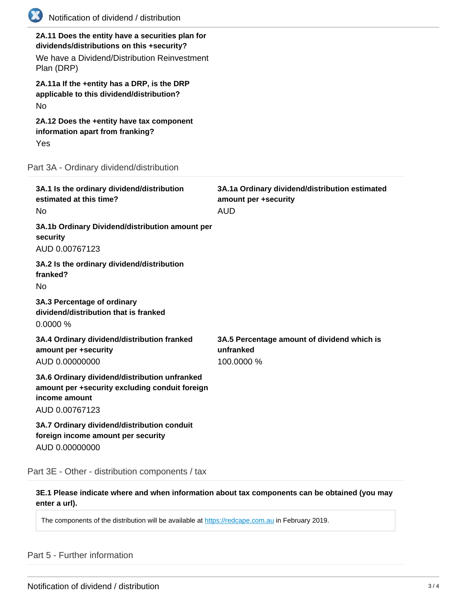| <b>EXPERIENCE</b><br>Notification of dividend / distribution                                                                                                 |                                                                                      |
|--------------------------------------------------------------------------------------------------------------------------------------------------------------|--------------------------------------------------------------------------------------|
| 2A.11 Does the entity have a securities plan for<br>dividends/distributions on this +security?<br>We have a Dividend/Distribution Reinvestment<br>Plan (DRP) |                                                                                      |
| 2A.11a If the +entity has a DRP, is the DRP<br>applicable to this dividend/distribution?<br><b>No</b>                                                        |                                                                                      |
| 2A.12 Does the +entity have tax component<br>information apart from franking?<br>Yes                                                                         |                                                                                      |
| Part 3A - Ordinary dividend/distribution                                                                                                                     |                                                                                      |
| 3A.1 Is the ordinary dividend/distribution<br>estimated at this time?<br>No                                                                                  | 3A.1a Ordinary dividend/distribution estimated<br>amount per +security<br><b>AUD</b> |
| 3A.1b Ordinary Dividend/distribution amount per<br>security<br>AUD 0.00767123                                                                                |                                                                                      |
| 3A.2 Is the ordinary dividend/distribution<br>franked?<br>No                                                                                                 |                                                                                      |
| 3A.3 Percentage of ordinary<br>dividend/distribution that is franked<br>0.0000%                                                                              |                                                                                      |
| 3A.4 Ordinary dividend/distribution franked<br>amount per +security<br>AUD 0.00000000                                                                        | 3A.5 Percentage amount of dividend which is<br>unfranked<br>100.0000 %               |
| 3A.6 Ordinary dividend/distribution unfranked<br>amount per +security excluding conduit foreign<br>income amount<br>AUD 0.00767123                           |                                                                                      |
| 3A.7 Ordinary dividend/distribution conduit<br>foreign income amount per security<br>AUD 0.00000000                                                          |                                                                                      |

Part 3E - Other - distribution components / tax

**3E.1 Please indicate where and when information about tax components can be obtained (you may enter a url).**

The components of the distribution will be available at <https://redcape.com.au> in February 2019.